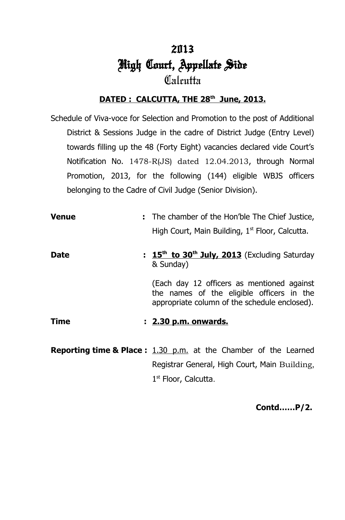# 2013 High Court, Appellate Side  $\mathcal{C}[x]$ cutta

#### **DATED : CALCUTTA, THE 28th June, 2013.**

Schedule of Viva-voce for Selection and Promotion to the post of Additional District & Sessions Judge in the cadre of District Judge (Entry Level) towards filling up the 48 (Forty Eight) vacancies declared vide Court's Notification No. 1478-R(JS) dated 12.04.2013, through Normal Promotion, 2013, for the following (144) eligible WBJS officers belonging to the Cadre of Civil Judge (Senior Division).

**Venue :** The chamber of the Hon'ble The Chief Justice, High Court, Main Building,  $1<sup>st</sup>$  Floor, Calcutta. **Date 15<sup>th</sup> to 30<sup>th</sup> July, 2013** (Excluding Saturday & Sunday) (Each day 12 officers as mentioned against the names of the eligible officers in the appropriate column of the schedule enclosed). **Time : 2.30 p.m. onwards.**

**Reporting time & Place :** 1.30 p.m. at the Chamber of the Learned Registrar General, High Court, Main Building, 1<sup>st</sup> Floor, Calcutta.

 **Contd……P/2.**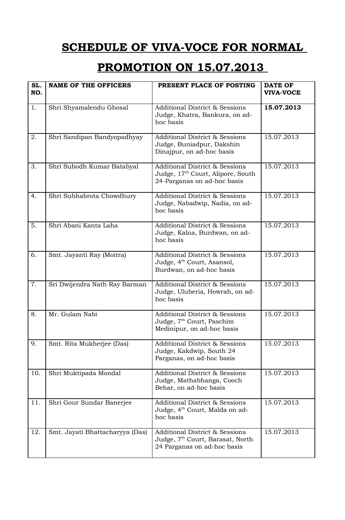## **PROMOTION ON 15.07.2013**

| SL.<br>NO. | <b>NAME OF THE OFFICERS</b>     | PRESENT PLACE OF POSTING                                                                                                 | <b>DATE OF</b><br><b>VIVA-VOCE</b> |
|------------|---------------------------------|--------------------------------------------------------------------------------------------------------------------------|------------------------------------|
| 1.         | Shri Shyamalendu Ghosal         | <b>Additional District &amp; Sessions</b><br>Judge, Khatra, Bankura, on ad-<br>hoc basis                                 | 15.07.2013                         |
| 2.         | Shri Sandipan Bandyopadhyay     | <b>Additional District &amp; Sessions</b><br>Judge, Buniadpur, Dakshin<br>Dinajpur, on ad-hoc basis                      | 15.07.2013                         |
| 3.         | Shri Subodh Kumar Batabyal      | <b>Additional District &amp; Sessions</b><br>Judge, 17th Court, Alipore, South<br>24-Parganas on ad-hoc basis            | 15.07.2013                         |
| 4.         | Shri Subhabrota Chowdhury       | <b>Additional District &amp; Sessions</b><br>Judge, Nabadwip, Nadia, on ad-<br>hoc basis                                 | 15.07.2013                         |
| 5.         | Shri Abani Kanta Laha           | <b>Additional District &amp; Sessions</b><br>Judge, Kalna, Burdwan, on ad-<br>hoc basis                                  | 15.07.2013                         |
| 6.         | Smt. Jayanti Ray (Moitra)       | <b>Additional District &amp; Sessions</b><br>Judge, 4 <sup>th</sup> Court, Asansol,<br>Burdwan, on ad-hoc basis          | 15.07.2013                         |
| 7.         | Sri Dwijendra Nath Ray Barman   | <b>Additional District &amp; Sessions</b><br>Judge, Uluberia, Howrah, on ad-<br>hoc basis                                | 15.07.2013                         |
| 8.         | Mr. Gulam Nabi                  | <b>Additional District &amp; Sessions</b><br>Judge, 7 <sup>th</sup> Court, Paschim<br>Medinipur, on ad-hoc basis         | 15.07.2013                         |
| 9.         | Smt. Rita Mukherjee (Das)       | <b>Additional District &amp; Sessions</b><br>Judge, Kakdwip, South 24<br>Parganas, on ad-hoc basis                       | 15.07.2013                         |
| 10.        | Shri Muktipada Mondal           | <b>Additional District &amp; Sessions</b><br>Judge, Mathabhanga, Cooch<br>Behar, on ad-hoc basis                         | 15.07.2013                         |
| 11.        | Shri Gour Sundar Banerjee       | <b>Additional District &amp; Sessions</b><br>Judge, 4 <sup>th</sup> Court, Malda on ad-<br>hoc basis                     | 15.07.2013                         |
| 12.        | Smt. Jayati Bhattacharyya (Das) | <b>Additional District &amp; Sessions</b><br>Judge, 7 <sup>th</sup> Court, Barasat, North<br>24 Parganas on ad-hoc basis | 15.07.2013                         |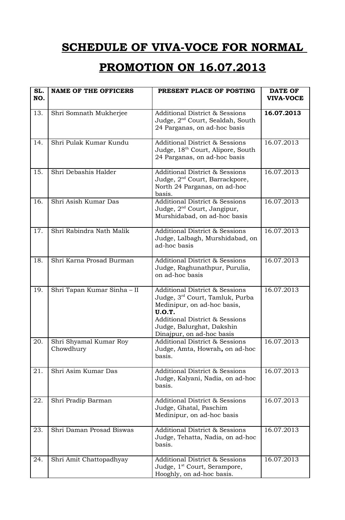### **PROMOTION ON 16.07.2013**

| SL.<br>NO. | <b>NAME OF THE OFFICERS</b>         | PRESENT PLACE OF POSTING                                                                                                                                                                                                            | <b>DATE OF</b><br><b>VIVA-VOCE</b> |
|------------|-------------------------------------|-------------------------------------------------------------------------------------------------------------------------------------------------------------------------------------------------------------------------------------|------------------------------------|
| 13.        | Shri Somnath Mukherjee              | <b>Additional District &amp; Sessions</b><br>Judge, 2 <sup>nd</sup> Court, Sealdah, South<br>24 Parganas, on ad-hoc basis                                                                                                           | 16.07.2013                         |
| 14.        | Shri Pulak Kumar Kundu              | <b>Additional District &amp; Sessions</b><br>Judge, 18 <sup>th</sup> Court, Alipore, South<br>24 Parganas, on ad-hoc basis                                                                                                          | 16.07.2013                         |
| 15.        | Shri Debashis Halder                | <b>Additional District &amp; Sessions</b><br>Judge, 2 <sup>nd</sup> Court, Barrackpore,<br>North 24 Parganas, on ad-hoc<br>basis.                                                                                                   | 16.07.2013                         |
| 16.        | Shri Asish Kumar Das                | <b>Additional District &amp; Sessions</b><br>Judge, 2 <sup>nd</sup> Court, Jangipur,<br>Murshidabad, on ad-hoc basis                                                                                                                | 16.07.2013                         |
| 17.        | Shri Rabindra Nath Malik            | <b>Additional District &amp; Sessions</b><br>Judge, Lalbagh, Murshidabad, on<br>ad-hoc basis                                                                                                                                        | 16.07.2013                         |
| 18.        | Shri Karna Prosad Burman            | <b>Additional District &amp; Sessions</b><br>Judge, Raghunathpur, Purulia,<br>on ad-hoc basis                                                                                                                                       | 16.07.2013                         |
| 19.        | Shri Tapan Kumar Sinha - II         | <b>Additional District &amp; Sessions</b><br>Judge, 3rd Court, Tamluk, Purba<br>Medinipur, on ad-hoc basis,<br><b>U.O.T.</b><br><b>Additional District &amp; Sessions</b><br>Judge, Balurghat, Dakshin<br>Dinajpur, on ad-hoc basis | 16.07.2013                         |
| 20.        | Shri Shyamal Kumar Roy<br>Chowdhury | <b>Additional District &amp; Sessions</b><br>Judge, Amta, Howrah, on ad-hoc<br>basis.                                                                                                                                               | 16.07.2013                         |
| 21.        | Shri Asim Kumar Das                 | <b>Additional District &amp; Sessions</b><br>Judge, Kalyani, Nadia, on ad-hoc<br>basis.                                                                                                                                             | 16.07.2013                         |
| 22.        | Shri Pradip Barman                  | <b>Additional District &amp; Sessions</b><br>Judge, Ghatal, Paschim<br>Medinipur, on ad-hoc basis                                                                                                                                   | 16.07.2013                         |
| 23.        | Shri Daman Prosad Biswas            | <b>Additional District &amp; Sessions</b><br>Judge, Tehatta, Nadia, on ad-hoc<br>basis.                                                                                                                                             | 16.07.2013                         |
| 24.        | Shri Amit Chattopadhyay             | <b>Additional District &amp; Sessions</b><br>Judge, 1 <sup>st</sup> Court, Serampore,<br>Hooghly, on ad-hoc basis.                                                                                                                  | 16.07.2013                         |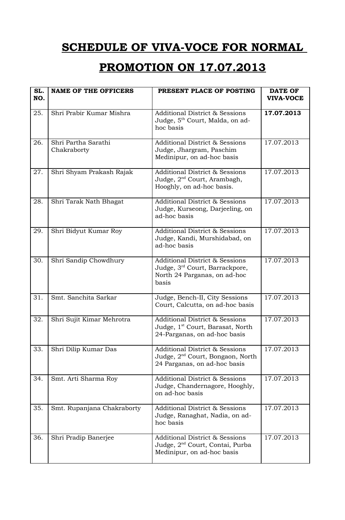### **PROMOTION ON 17.07.2013**

| SL.<br>NO. | <b>NAME OF THE OFFICERS</b>        | PRESENT PLACE OF POSTING                                                                                                         | <b>DATE OF</b><br><b>VIVA-VOCE</b> |
|------------|------------------------------------|----------------------------------------------------------------------------------------------------------------------------------|------------------------------------|
| 25.        | Shri Prabir Kumar Mishra           | <b>Additional District &amp; Sessions</b><br>Judge, 5 <sup>th</sup> Court, Malda, on ad-<br>hoc basis                            | 17.07.2013                         |
| 26.        | Shri Partha Sarathi<br>Chakraborty | <b>Additional District &amp; Sessions</b><br>Judge, Jhargram, Paschim<br>Medinipur, on ad-hoc basis                              | 17.07.2013                         |
| 27.        | Shri Shyam Prakash Rajak           | <b>Additional District &amp; Sessions</b><br>Judge, 2 <sup>nd</sup> Court, Arambagh,<br>Hooghly, on ad-hoc basis.                | 17.07.2013                         |
| 28.        | Shri Tarak Nath Bhagat             | <b>Additional District &amp; Sessions</b><br>Judge, Kurseong, Darjeeling, on<br>ad-hoc basis                                     | 17.07.2013                         |
| 29.        | Shri Bidyut Kumar Roy              | <b>Additional District &amp; Sessions</b><br>Judge, Kandi, Murshidabad, on<br>ad-hoc basis                                       | 17.07.2013                         |
| 30.        | Shri Sandip Chowdhury              | <b>Additional District &amp; Sessions</b><br>Judge, 3 <sup>rd</sup> Court, Barrackpore,<br>North 24 Parganas, on ad-hoc<br>basis | 17.07.2013                         |
| 31.        | Smt. Sanchita Sarkar               | Judge, Bench-II, City Sessions<br>Court, Calcutta, on ad-hoc basis                                                               | 17.07.2013                         |
| 32.        | Shri Sujit Kimar Mehrotra          | <b>Additional District &amp; Sessions</b><br>Judge, 1 <sup>st</sup> Court, Barasat, North<br>24-Parganas, on ad-hoc basis        | 17.07.2013                         |
| 33.        | Shri Dilip Kumar Das               | <b>Additional District &amp; Sessions</b><br>Judge, 2 <sup>nd</sup> Court, Bongaon, North<br>24 Parganas, on ad-hoc basis        | 17.07.2013                         |
| 34.        | Smt. Arti Sharma Roy               | <b>Additional District &amp; Sessions</b><br>Judge, Chandernagore, Hooghly,<br>on ad-hoc basis                                   | 17.07.2013                         |
| 35.        | Smt. Rupanjana Chakraborty         | <b>Additional District &amp; Sessions</b><br>Judge, Ranaghat, Nadia, on ad-<br>hoc basis                                         | 17.07.2013                         |
| 36.        | Shri Pradip Banerjee               | <b>Additional District &amp; Sessions</b><br>Judge, 2 <sup>nd</sup> Court, Contai, Purba<br>Medinipur, on ad-hoc basis           | 17.07.2013                         |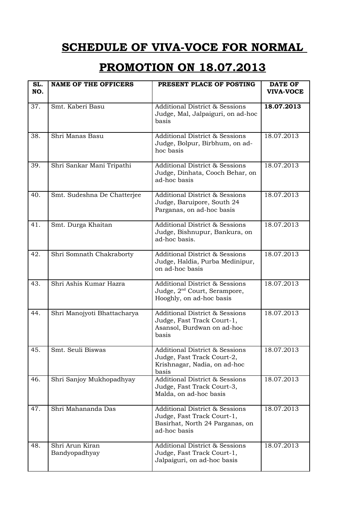#### **PROMOTION ON 18.07.2013**

| SL.<br>NO. | <b>NAME OF THE OFFICERS</b>      | PRESENT PLACE OF POSTING                                                                                                   | <b>DATE OF</b><br><b>VIVA-VOCE</b> |
|------------|----------------------------------|----------------------------------------------------------------------------------------------------------------------------|------------------------------------|
| 37.        | Smt. Kaberi Basu                 | <b>Additional District &amp; Sessions</b><br>Judge, Mal, Jalpaiguri, on ad-hoc<br>basis                                    | 18.07.2013                         |
| 38.        | Shri Manas Basu                  | <b>Additional District &amp; Sessions</b><br>Judge, Bolpur, Birbhum, on ad-<br>hoc basis                                   | 18.07.2013                         |
| 39.        | Shri Sankar Mani Tripathi        | <b>Additional District &amp; Sessions</b><br>Judge, Dinhata, Cooch Behar, on<br>ad-hoc basis                               | 18.07.2013                         |
| 40.        | Smt. Sudeshna De Chatterjee      | <b>Additional District &amp; Sessions</b><br>Judge, Baruipore, South 24<br>Parganas, on ad-hoc basis                       | 18.07.2013                         |
| 41.        | Smt. Durga Khaitan               | <b>Additional District &amp; Sessions</b><br>Judge, Bishnupur, Bankura, on<br>ad-hoc basis.                                | 18.07.2013                         |
| 42.        | Shri Somnath Chakraborty         | <b>Additional District &amp; Sessions</b><br>Judge, Haldia, Purba Medinipur,<br>on ad-hoc basis                            | 18.07.2013                         |
| 43.        | Shri Ashis Kumar Hazra           | <b>Additional District &amp; Sessions</b><br>Judge, 2 <sup>nd</sup> Court, Serampore,<br>Hooghly, on ad-hoc basis          | 18.07.2013                         |
| 44.        | Shri Manojyoti Bhattacharya      | <b>Additional District &amp; Sessions</b><br>Judge, Fast Track Court-1,<br>Asansol, Burdwan on ad-hoc<br>basis             | 18.07.2013                         |
| 45.        | Smt. Seuli Biswas                | <b>Additional District &amp; Sessions</b><br>Judge, Fast Track Court-2,<br>Krishnagar, Nadia, on ad-hoc<br>basis           | 18.07.2013                         |
| 46.        | Shri Sanjoy Mukhopadhyay         | <b>Additional District &amp; Sessions</b><br>Judge, Fast Track Court-3,<br>Malda, on ad-hoc basis                          | 18.07.2013                         |
| 47.        | Shri Mahananda Das               | <b>Additional District &amp; Sessions</b><br>Judge, Fast Track Court-1,<br>Basirhat, North 24 Parganas, on<br>ad-hoc basis | 18.07.2013                         |
| 48.        | Shri Arun Kiran<br>Bandyopadhyay | <b>Additional District &amp; Sessions</b><br>Judge, Fast Track Court-1,<br>Jalpaiguri, on ad-hoc basis                     | 18.07.2013                         |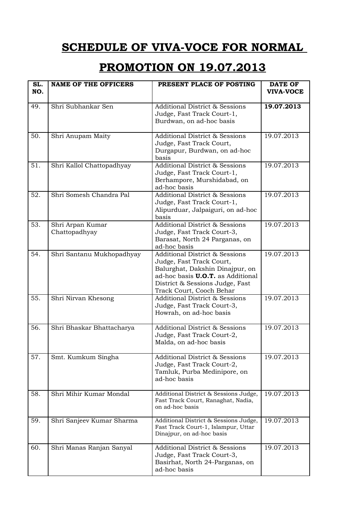## **PROMOTION ON 19.07.2013**

| SL.<br>NO. | <b>NAME OF THE OFFICERS</b>       | PRESENT PLACE OF POSTING                                                                                                                                                                                            | <b>DATE OF</b><br><b>VIVA-VOCE</b> |
|------------|-----------------------------------|---------------------------------------------------------------------------------------------------------------------------------------------------------------------------------------------------------------------|------------------------------------|
| 49.        | Shri Subhankar Sen                | <b>Additional District &amp; Sessions</b><br>Judge, Fast Track Court-1,<br>Burdwan, on ad-hoc basis                                                                                                                 | 19.07.2013                         |
| 50.        | Shri Anupam Maity                 | <b>Additional District &amp; Sessions</b><br>Judge, Fast Track Court,<br>Durgapur, Burdwan, on ad-hoc<br>basis                                                                                                      | 19.07.2013                         |
| 51.        | Shri Kallol Chattopadhyay         | <b>Additional District &amp; Sessions</b><br>Judge, Fast Track Court-1,<br>Berhampore, Murshidabad, on<br>ad-hoc basis                                                                                              | 19.07.2013                         |
| 52.        | Shri Somesh Chandra Pal           | <b>Additional District &amp; Sessions</b><br>Judge, Fast Track Court-1,<br>Alipurduar, Jalpaiguri, on ad-hoc<br>basis                                                                                               | 19.07.2013                         |
| 53.        | Shri Arpan Kumar<br>Chattopadhyay | <b>Additional District &amp; Sessions</b><br>Judge, Fast Track Court-3,<br>Barasat, North 24 Parganas, on<br>ad-hoc basis                                                                                           | 19.07.2013                         |
| 54.        | Shri Santanu Mukhopadhyay         | <b>Additional District &amp; Sessions</b><br>Judge, Fast Track Court,<br>Balurghat, Dakshin Dinajpur, on<br>ad-hoc basis <b>U.O.T.</b> as Additional<br>District & Sessions Judge, Fast<br>Track Court, Cooch Behar | 19.07.2013                         |
| 55.        | Shri Nirvan Khesong               | <b>Additional District &amp; Sessions</b><br>Judge, Fast Track Court-3,<br>Howrah, on ad-hoc basis                                                                                                                  | 19.07.2013                         |
| 56.        | Shri Bhaskar Bhattacharya         | <b>Additional District &amp; Sessions</b><br>Judge, Fast Track Court-2,<br>Malda, on ad-hoc basis                                                                                                                   | 19.07.2013                         |
| 57.        | Smt. Kumkum Singha                | <b>Additional District &amp; Sessions</b><br>Judge, Fast Track Court-2,<br>Tamluk, Purba Medinipore, on<br>ad-hoc basis                                                                                             | 19.07.2013                         |
| 58.        | Shri Mihir Kumar Mondal           | Additional District & Sessions Judge,<br>Fast Track Court, Ranaghat, Nadia,<br>on ad-hoc basis                                                                                                                      | 19.07.2013                         |
| 59.        | Shri Sanjeev Kumar Sharma         | Additional District & Sessions Judge,<br>Fast Track Court-1, Islampur, Uttar<br>Dinajpur, on ad-hoc basis                                                                                                           | 19.07.2013                         |
| 60.        | Shri Manas Ranjan Sanyal          | <b>Additional District &amp; Sessions</b><br>Judge, Fast Track Court-3,<br>Basirhat, North 24-Parganas, on<br>ad-hoc basis                                                                                          | 19.07.2013                         |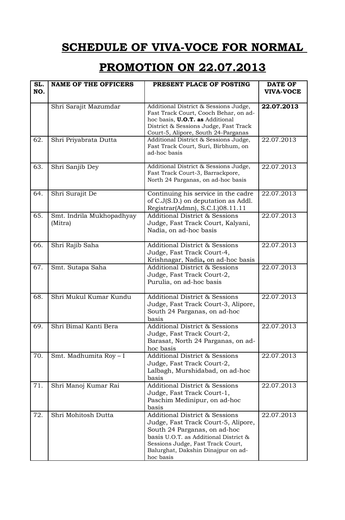#### **PROMOTION ON 22.07.2013**

| SL.<br>NO. | <b>NAME OF THE OFFICERS</b>          | PRESENT PLACE OF POSTING                                                                                                                                                                                                                          | <b>DATE OF</b><br><b>VIVA-VOCE</b> |
|------------|--------------------------------------|---------------------------------------------------------------------------------------------------------------------------------------------------------------------------------------------------------------------------------------------------|------------------------------------|
|            | Shri Sarajit Mazumdar                | Additional District & Sessions Judge,<br>Fast Track Court, Cooch Behar, on ad-<br>hoc basis, <b>U.O.T.</b> as Additional<br>District & Sessions Judge, Fast Track<br>Court-5, Alipore, South 24-Parganas                                          | 22.07.2013                         |
| 62.        | Shri Priyabrata Dutta                | Additional District & Sessions Judge,<br>Fast Track Court, Suri, Birbhum, on<br>ad-hoc basis                                                                                                                                                      | 22.07.2013                         |
| 63.        | Shri Sanjib Dey                      | Additional District & Sessions Judge,<br>Fast Track Court-3, Barrackpore,<br>North 24 Parganas, on ad-hoc basis                                                                                                                                   | 22.07.2013                         |
| 64.        | Shri Surajit De                      | Continuing his service in the cadre<br>of C.J(S.D.) on deputation as Addl.<br>Registrar(Admn), S.C.I.)08.11.11                                                                                                                                    | 22.07.2013                         |
| 65.        | Smt. Indrila Mukhopadhyay<br>(Mitra) | <b>Additional District &amp; Sessions</b><br>Judge, Fast Track Court, Kalyani,<br>Nadia, on ad-hoc basis                                                                                                                                          | 22.07.2013                         |
| 66.        | Shri Rajib Saha                      | <b>Additional District &amp; Sessions</b><br>Judge, Fast Track Court-4,<br>Krishnagar, Nadia, on ad-hoc basis                                                                                                                                     | 22.07.2013                         |
| 67.        | Smt. Sutapa Saha                     | <b>Additional District &amp; Sessions</b><br>Judge, Fast Track Court-2,<br>Purulia, on ad-hoc basis                                                                                                                                               | 22.07.2013                         |
| 68.        | Shri Mukul Kumar Kundu               | <b>Additional District &amp; Sessions</b><br>Judge, Fast Track Court-3, Alipore,<br>South 24 Parganas, on ad-hoc<br>basis                                                                                                                         | 22.07.2013                         |
| 69.        | Shri Bimal Kanti Bera                | <b>Additional District &amp; Sessions</b><br>Judge, Fast Track Court-2,<br>Barasat, North 24 Parganas, on ad-<br>hoc basis                                                                                                                        | 22.07.2013                         |
| 70.        | Smt. Madhumita Roy - I               | <b>Additional District &amp; Sessions</b><br>Judge, Fast Track Court-2,<br>Lalbagh, Murshidabad, on ad-hoc<br>basis                                                                                                                               | 22.07.2013                         |
| 71.        | Shri Manoj Kumar Rai                 | <b>Additional District &amp; Sessions</b><br>Judge, Fast Track Court-1,<br>Paschim Medinipur, on ad-hoc<br>basis                                                                                                                                  | 22.07.2013                         |
| 72.        | Shri Mohitosh Dutta                  | <b>Additional District &amp; Sessions</b><br>Judge, Fast Track Court-5, Alipore,<br>South 24 Parganas, on ad-hoc<br>basis U.O.T. as Additional District &<br>Sessions Judge, Fast Track Court,<br>Balurghat, Dakshin Dinajpur on ad-<br>hoc basis | 22.07.2013                         |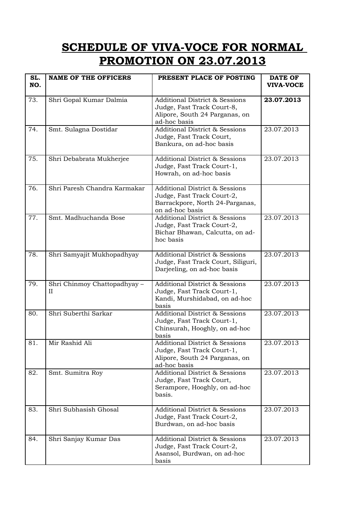## **SCHEDULE OF VIVA-VOCE FOR NORMAL PROMOTION ON 23.07.2013**

| SL.<br>NO. | <b>NAME OF THE OFFICERS</b>       | PRESENT PLACE OF POSTING                                                                                                      | <b>DATE OF</b><br><b>VIVA-VOCE</b> |
|------------|-----------------------------------|-------------------------------------------------------------------------------------------------------------------------------|------------------------------------|
| 73.        | Shri Gopal Kumar Dalmia           | <b>Additional District &amp; Sessions</b><br>Judge, Fast Track Court-8,<br>Alipore, South 24 Parganas, on<br>ad-hoc basis     | 23.07.2013                         |
| 74.        | Smt. Sulagna Dostidar             | <b>Additional District &amp; Sessions</b><br>Judge, Fast Track Court,<br>Bankura, on ad-hoc basis                             | 23.07.2013                         |
| 75.        | Shri Debabrata Mukherjee          | <b>Additional District &amp; Sessions</b><br>Judge, Fast Track Court-1,<br>Howrah, on ad-hoc basis                            | 23.07.2013                         |
| 76.        | Shri Paresh Chandra Karmakar      | <b>Additional District &amp; Sessions</b><br>Judge, Fast Track Court-2,<br>Barrackpore, North 24-Parganas,<br>on ad-hoc basis |                                    |
| 77.        | Smt. Madhuchanda Bose             | <b>Additional District &amp; Sessions</b><br>Judge, Fast Track Court-2,<br>Bichar Bhawan, Calcutta, on ad-<br>hoc basis       | 23.07.2013                         |
| 78.        | Shri Samyajit Mukhopadhyay        | <b>Additional District &amp; Sessions</b><br>Judge, Fast Track Court, Siliguri,<br>Darjeeling, on ad-hoc basis                | 23.07.2013                         |
| 79.        | Shri Chinmoy Chattopadhyay -<br>H | <b>Additional District &amp; Sessions</b><br>Judge, Fast Track Court-1,<br>Kandi, Murshidabad, on ad-hoc<br>basis             | 23.07.2013                         |
| 80.        | Shri Suberthi Sarkar              | <b>Additional District &amp; Sessions</b><br>Judge, Fast Track Court-1,<br>Chinsurah, Hooghly, on ad-hoc<br>basis             | 23.07.2013                         |
| 81.        | Mir Rashid Ali                    | <b>Additional District &amp; Sessions</b><br>Judge, Fast Track Court-1,<br>Alipore, South 24 Parganas, on<br>ad-hoc basis     | 23.07.2013                         |
| 82.        | Smt. Sumitra Roy                  | <b>Additional District &amp; Sessions</b><br>Judge, Fast Track Court,<br>Serampore, Hooghly, on ad-hoc<br>basis.              | 23.07.2013                         |
| 83.        | Shri Subhasish Ghosal             | <b>Additional District &amp; Sessions</b><br>Judge, Fast Track Court-2,<br>Burdwan, on ad-hoc basis                           | 23.07.2013                         |
| 84.        | Shri Sanjay Kumar Das             | <b>Additional District &amp; Sessions</b><br>Judge, Fast Track Court-2,<br>Asansol, Burdwan, on ad-hoc<br>basis               | 23.07.2013                         |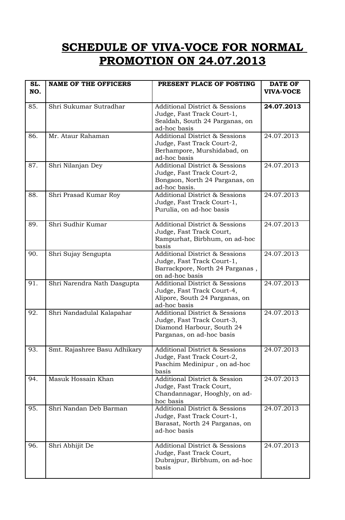## **SCHEDULE OF VIVA-VOCE FOR NORMAL PROMOTION ON 24.07.2013**

| SL.<br>NO. | <b>NAME OF THE OFFICERS</b>  | PRESENT PLACE OF POSTING                                                                                                          | <b>DATE OF</b><br><b>VIVA-VOCE</b> |
|------------|------------------------------|-----------------------------------------------------------------------------------------------------------------------------------|------------------------------------|
| 85.        | Shri Sukumar Sutradhar       | <b>Additional District &amp; Sessions</b><br>Judge, Fast Track Court-1,<br>Sealdah, South 24 Parganas, on<br>ad-hoc basis         | 24.07.2013                         |
| 86.        | Mr. Ataur Rahaman            | <b>Additional District &amp; Sessions</b><br>Judge, Fast Track Court-2,<br>Berhampore, Murshidabad, on<br>ad-hoc basis            | 24.07.2013                         |
| 87.        | Shri Nilanjan Dey            | <b>Additional District &amp; Sessions</b><br>Judge, Fast Track Court-2,<br>Bongaon, North 24 Parganas, on<br>ad-hoc basis.        | 24.07.2013                         |
| 88.        | Shri Prasad Kumar Roy        | <b>Additional District &amp; Sessions</b><br>Judge, Fast Track Court-1,<br>Purulia, on ad-hoc basis                               | 24.07.2013                         |
| 89.        | Shri Sudhir Kumar            | <b>Additional District &amp; Sessions</b><br>Judge, Fast Track Court,<br>Rampurhat, Birbhum, on ad-hoc<br>basis                   | 24.07.2013                         |
| 90.        | Shri Sujay Sengupta          | <b>Additional District &amp; Sessions</b><br>Judge, Fast Track Court-1,<br>Barrackpore, North 24 Parganas,<br>on ad-hoc basis     | 24.07.2013                         |
| 91.        | Shri Narendra Nath Dasgupta  | <b>Additional District &amp; Sessions</b><br>Judge, Fast Track Court-4,<br>Alipore, South 24 Parganas, on<br>ad-hoc basis         | 24.07.2013                         |
| 92.        | Shri Nandadulal Kalapahar    | <b>Additional District &amp; Sessions</b><br>Judge, Fast Track Court-3,<br>Diamond Harbour, South 24<br>Parganas, on ad-hoc basis | 24.07.2013                         |
| 93.        | Smt. Rajashree Basu Adhikary | <b>Additional District &amp; Sessions</b><br>Judge, Fast Track Court-2,<br>Paschim Medinipur, on ad-hoc<br>basis                  | 24.07.2013                         |
| 94.        | Masuk Hossain Khan           | <b>Additional District &amp; Session</b><br>Judge, Fast Track Court,<br>Chandannagar, Hooghly, on ad-<br>hoc basis                | 24.07.2013                         |
| 95.        | Shri Nandan Deb Barman       | <b>Additional District &amp; Sessions</b><br>Judge, Fast Track Court-1,<br>Barasat, North 24 Parganas, on<br>ad-hoc basis         | 24.07.2013                         |
| 96.        | Shri Abhijit De              | <b>Additional District &amp; Sessions</b><br>Judge, Fast Track Court,<br>Dubrajpur, Birbhum, on ad-hoc<br>basis                   | 24.07.2013                         |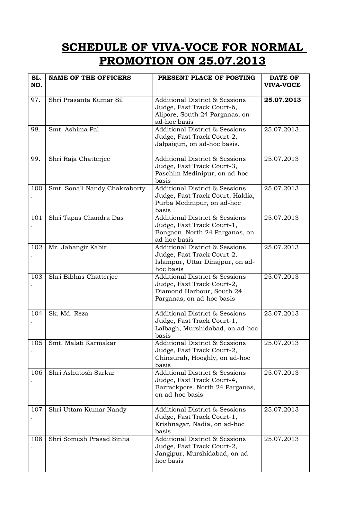## **SCHEDULE OF VIVA-VOCE FOR NORMAL PROMOTION ON 25.07.2013**

| SL.<br>NO. | <b>NAME OF THE OFFICERS</b>   | PRESENT PLACE OF POSTING                                                                                                          | <b>DATE OF</b><br><b>VIVA-VOCE</b> |
|------------|-------------------------------|-----------------------------------------------------------------------------------------------------------------------------------|------------------------------------|
| 97.        | Shri Prasanta Kumar Sil       | <b>Additional District &amp; Sessions</b><br>Judge, Fast Track Court-6,<br>Alipore, South 24 Parganas, on<br>ad-hoc basis         | 25.07.2013                         |
| 98.        | Smt. Ashima Pal               | <b>Additional District &amp; Sessions</b><br>Judge, Fast Track Court-2,<br>Jalpaiguri, on ad-hoc basis.                           | 25.07.2013                         |
| 99.        | Shri Raja Chatterjee          | <b>Additional District &amp; Sessions</b><br>Judge, Fast Track Court-3,<br>Paschim Medinipur, on ad-hoc<br>basis                  | 25.07.2013                         |
| 100        | Smt. Sonali Nandy Chakraborty | <b>Additional District &amp; Sessions</b><br>Judge, Fast Track Court, Haldia,<br>Purba Medinipur, on ad-hoc<br>basis              | 25.07.2013                         |
| 101        | Shri Tapas Chandra Das        | <b>Additional District &amp; Sessions</b><br>Judge, Fast Track Court-1,<br>Bongaon, North 24 Parganas, on<br>ad-hoc basis         | 25.07.2013                         |
| 102        | Mr. Jahangir Kabir            | <b>Additional District &amp; Sessions</b><br>Judge, Fast Track Court-2,<br>Islampur, Uttar Dinajpur, on ad-<br>hoc basis          | 25.07.2013                         |
| 103        | Shri Bibhas Chatterjee        | <b>Additional District &amp; Sessions</b><br>Judge, Fast Track Court-2,<br>Diamond Harbour, South 24<br>Parganas, on ad-hoc basis | 25.07.2013                         |
| 104        | Sk. Md. Reza                  | <b>Additional District &amp; Sessions</b><br>Judge, Fast Track Court-1,<br>Lalbagh, Murshidabad, on ad-hoc<br>basis               | 25.07.2013                         |
| 105        | Smt. Malati Karmakar          | <b>Additional District &amp; Sessions</b><br>Judge, Fast Track Court-2,<br>Chinsurah, Hooghly, on ad-hoc<br>basis                 | 25.07.2013                         |
| 106        | Shri Ashutosh Sarkar          | <b>Additional District &amp; Sessions</b><br>Judge, Fast Track Court-4,<br>Barrackpore, North 24 Parganas,<br>on ad-hoc basis     | 25.07.2013                         |
| 107        | Shri Uttam Kumar Nandy        | <b>Additional District &amp; Sessions</b><br>Judge, Fast Track Court-1,<br>Krishnagar, Nadia, on ad-hoc<br>basis                  | 25.07.2013                         |
| 108        | Shri Somesh Prasad Sinha      | <b>Additional District &amp; Sessions</b><br>Judge, Fast Track Court-2,<br>Jangipur, Murshidabad, on ad-<br>hoc basis             | 25.07.2013                         |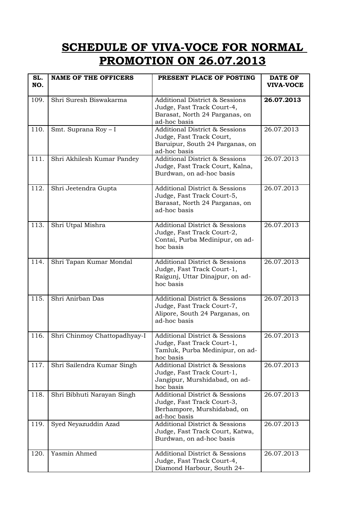## **SCHEDULE OF VIVA-VOCE FOR NORMAL PROMOTION ON 26.07.2013**

| SL.<br>NO. | <b>NAME OF THE OFFICERS</b>  | PRESENT PLACE OF POSTING                                                                                                  | <b>DATE OF</b><br><b>VIVA-VOCE</b> |
|------------|------------------------------|---------------------------------------------------------------------------------------------------------------------------|------------------------------------|
| 109.       | Shri Suresh Biswakarma       | <b>Additional District &amp; Sessions</b><br>Judge, Fast Track Court-4,<br>Barasat, North 24 Parganas, on<br>ad-hoc basis | 26.07.2013                         |
| 110.       | Smt. Suprana Roy - I         | <b>Additional District &amp; Sessions</b><br>Judge, Fast Track Court,<br>Baruipur, South 24 Parganas, on<br>ad-hoc basis  | 26.07.2013                         |
| 111.       | Shri Akhilesh Kumar Pandey   | <b>Additional District &amp; Sessions</b><br>Judge, Fast Track Court, Kalna,<br>Burdwan, on ad-hoc basis                  | 26.07.2013                         |
| 112.       | Shri Jeetendra Gupta         | <b>Additional District &amp; Sessions</b><br>Judge, Fast Track Court-5,<br>Barasat, North 24 Parganas, on<br>ad-hoc basis | 26.07.2013                         |
| 113.       | Shri Utpal Mishra            | <b>Additional District &amp; Sessions</b><br>Judge, Fast Track Court-2,<br>Contai, Purba Medinipur, on ad-<br>hoc basis   | 26.07.2013                         |
| 114.       | Shri Tapan Kumar Mondal      | <b>Additional District &amp; Sessions</b><br>Judge, Fast Track Court-1,<br>Raigunj, Uttar Dinajpur, on ad-<br>hoc basis   | 26.07.2013                         |
| 115.       | Shri Anirban Das             | <b>Additional District &amp; Sessions</b><br>Judge, Fast Track Court-7,<br>Alipore, South 24 Parganas, on<br>ad-hoc basis | 26.07.2013                         |
| 116.       | Shri Chinmoy Chattopadhyay-I | <b>Additional District &amp; Sessions</b><br>Judge, Fast Track Court-1,<br>Tamluk, Purba Medinipur, on ad-<br>hoc basis   | 26.07.2013                         |
| 117.       | Shri Sailendra Kumar Singh   | <b>Additional District &amp; Sessions</b><br>Judge, Fast Track Court-1,<br>Jangipur, Murshidabad, on ad-<br>hoc basis     | 26.07.2013                         |
| 118.       | Shri Bibhuti Narayan Singh   | <b>Additional District &amp; Sessions</b><br>Judge, Fast Track Court-3,<br>Berhampore, Murshidabad, on<br>ad-hoc basis    | 26.07.2013                         |
| 119.       | Syed Neyazuddin Azad         | <b>Additional District &amp; Sessions</b><br>Judge, Fast Track Court, Katwa,<br>Burdwan, on ad-hoc basis                  | 26.07.2013                         |
| 120.       | Yasmin Ahmed                 | Additional District & Sessions<br>Judge, Fast Track Court-4,<br>Diamond Harbour, South 24-                                | 26.07.2013                         |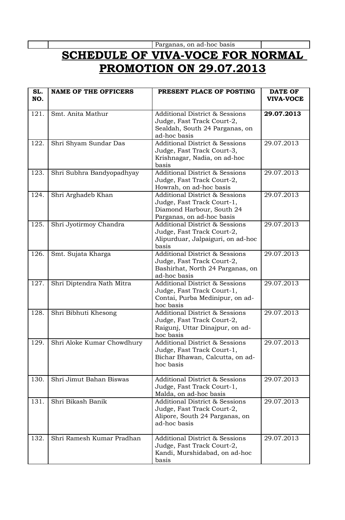Parganas, on ad-hoc basis

# **SCHEDULE OF VIVA-VOCE FOR NORMAL PROMOTION ON 29.07.2013**

| SL.<br>NO. | <b>NAME OF THE OFFICERS</b> | PRESENT PLACE OF POSTING                                                                                                          | <b>DATE OF</b><br><b>VIVA-VOCE</b> |
|------------|-----------------------------|-----------------------------------------------------------------------------------------------------------------------------------|------------------------------------|
| 121.       | Smt. Anita Mathur           | <b>Additional District &amp; Sessions</b><br>Judge, Fast Track Court-2,<br>Sealdah, South 24 Parganas, on<br>ad-hoc basis         | 29.07.2013                         |
| 122.       | Shri Shyam Sundar Das       | <b>Additional District &amp; Sessions</b><br>Judge, Fast Track Court-3,<br>Krishnagar, Nadia, on ad-hoc<br>basis                  | 29.07.2013                         |
| 123.       | Shri Subhra Bandyopadhyay   | <b>Additional District &amp; Sessions</b><br>Judge, Fast Track Court-2,<br>Howrah, on ad-hoc basis                                | 29.07.2013                         |
| 124.       | Shri Arghadeb Khan          | <b>Additional District &amp; Sessions</b><br>Judge, Fast Track Court-1,<br>Diamond Harbour, South 24<br>Parganas, on ad-hoc basis | 29.07.2013                         |
| 125.       | Shri Jyotirmoy Chandra      | <b>Additional District &amp; Sessions</b><br>Judge, Fast Track Court-2,<br>Alipurduar, Jalpaiguri, on ad-hoc<br>basis             | 29.07.2013                         |
| 126.       | Smt. Sujata Kharga          | <b>Additional District &amp; Sessions</b><br>Judge, Fast Track Court-2,<br>Bashirhat, North 24 Parganas, on<br>ad-hoc basis       | 29.07.2013                         |
| 127.       | Shri Diptendra Nath Mitra   | <b>Additional District &amp; Sessions</b><br>Judge, Fast Track Court-1,<br>Contai, Purba Medinipur, on ad-<br>hoc basis           | 29.07.2013                         |
| 128.       | Shri Bibhuti Khesong        | <b>Additional District &amp; Sessions</b><br>Judge, Fast Track Court-2,<br>Raigunj, Uttar Dinajpur, on ad-<br>hoc basis           | 29.07.2013                         |
| 129.       | Shri Aloke Kumar Chowdhury  | <b>Additional District &amp; Sessions</b><br>Judge, Fast Track Court-1,<br>Bichar Bhawan, Calcutta, on ad-<br>hoc basis           | 29.07.2013                         |
| 130.       | Shri Jimut Bahan Biswas     | <b>Additional District &amp; Sessions</b><br>Judge, Fast Track Court-1,<br>Malda, on ad-hoc basis                                 | 29.07.2013                         |
| 131.       | Shri Bikash Banik           | <b>Additional District &amp; Sessions</b><br>Judge, Fast Track Court-2,<br>Alipore, South 24 Parganas, on<br>ad-hoc basis         | 29.07.2013                         |
| 132.       | Shri Ramesh Kumar Pradhan   | <b>Additional District &amp; Sessions</b><br>Judge, Fast Track Court-2,<br>Kandi, Murshidabad, on ad-hoc<br>basis                 | 29.07.2013                         |